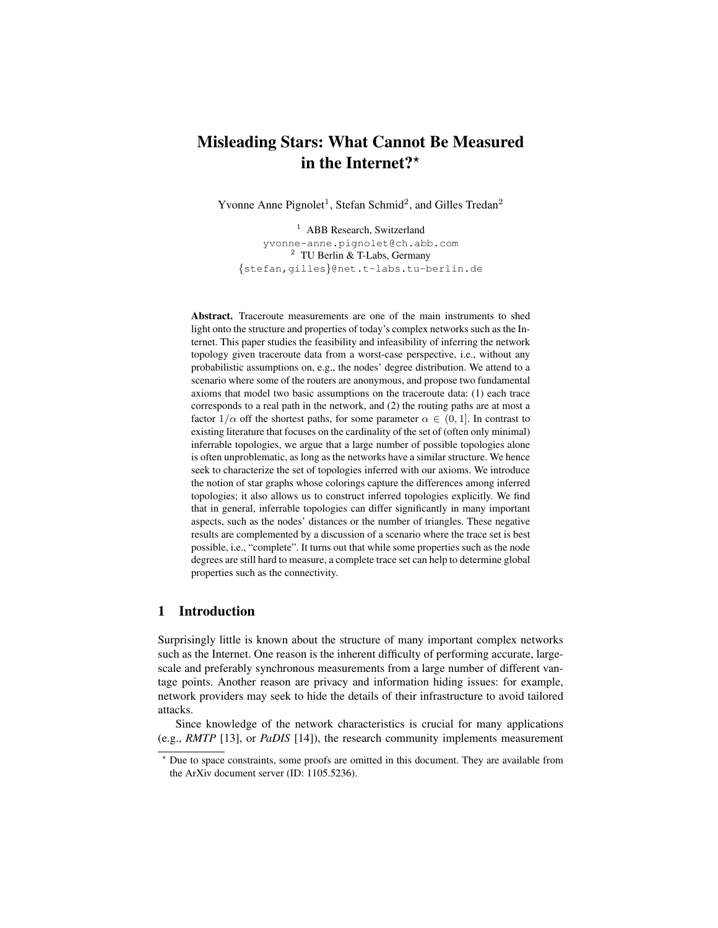# Misleading Stars: What Cannot Be Measured in the Internet? $*$

Yvonne Anne Pignolet<sup>1</sup>, Stefan Schmid<sup>2</sup>, and Gilles Tredan<sup>2</sup>

<sup>1</sup> ABB Research, Switzerland yvonne-anne.pignolet@ch.abb.com <sup>2</sup> TU Berlin & T-Labs, Germany {stefan,gilles}@net.t-labs.tu-berlin.de

Abstract. Traceroute measurements are one of the main instruments to shed light onto the structure and properties of today's complex networks such as the Internet. This paper studies the feasibility and infeasibility of inferring the network topology given traceroute data from a worst-case perspective, i.e., without any probabilistic assumptions on, e.g., the nodes' degree distribution. We attend to a scenario where some of the routers are anonymous, and propose two fundamental axioms that model two basic assumptions on the traceroute data: (1) each trace corresponds to a real path in the network, and (2) the routing paths are at most a factor  $1/\alpha$  off the shortest paths, for some parameter  $\alpha \in (0,1]$ . In contrast to existing literature that focuses on the cardinality of the set of (often only minimal) inferrable topologies, we argue that a large number of possible topologies alone is often unproblematic, as long as the networks have a similar structure. We hence seek to characterize the set of topologies inferred with our axioms. We introduce the notion of star graphs whose colorings capture the differences among inferred topologies; it also allows us to construct inferred topologies explicitly. We find that in general, inferrable topologies can differ significantly in many important aspects, such as the nodes' distances or the number of triangles. These negative results are complemented by a discussion of a scenario where the trace set is best possible, i.e., "complete". It turns out that while some properties such as the node degrees are still hard to measure, a complete trace set can help to determine global properties such as the connectivity.

## 1 Introduction

Surprisingly little is known about the structure of many important complex networks such as the Internet. One reason is the inherent difficulty of performing accurate, largescale and preferably synchronous measurements from a large number of different vantage points. Another reason are privacy and information hiding issues: for example, network providers may seek to hide the details of their infrastructure to avoid tailored attacks.

Since knowledge of the network characteristics is crucial for many applications (e.g., *RMTP* [13], or *PaDIS* [14]), the research community implements measurement

<sup>?</sup> Due to space constraints, some proofs are omitted in this document. They are available from the ArXiv document server (ID: 1105.5236).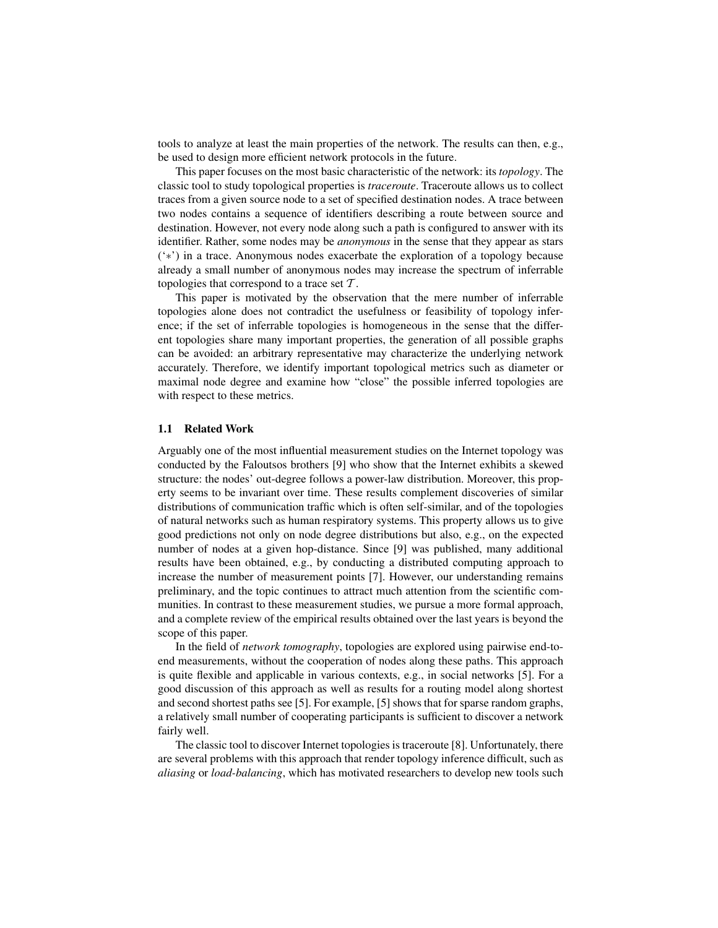tools to analyze at least the main properties of the network. The results can then, e.g., be used to design more efficient network protocols in the future.

This paper focuses on the most basic characteristic of the network: its *topology*. The classic tool to study topological properties is *traceroute*. Traceroute allows us to collect traces from a given source node to a set of specified destination nodes. A trace between two nodes contains a sequence of identifiers describing a route between source and destination. However, not every node along such a path is configured to answer with its identifier. Rather, some nodes may be *anonymous* in the sense that they appear as stars ('∗') in a trace. Anonymous nodes exacerbate the exploration of a topology because already a small number of anonymous nodes may increase the spectrum of inferrable topologies that correspond to a trace set  $T$ .

This paper is motivated by the observation that the mere number of inferrable topologies alone does not contradict the usefulness or feasibility of topology inference; if the set of inferrable topologies is homogeneous in the sense that the different topologies share many important properties, the generation of all possible graphs can be avoided: an arbitrary representative may characterize the underlying network accurately. Therefore, we identify important topological metrics such as diameter or maximal node degree and examine how "close" the possible inferred topologies are with respect to these metrics.

#### 1.1 Related Work

Arguably one of the most influential measurement studies on the Internet topology was conducted by the Faloutsos brothers [9] who show that the Internet exhibits a skewed structure: the nodes' out-degree follows a power-law distribution. Moreover, this property seems to be invariant over time. These results complement discoveries of similar distributions of communication traffic which is often self-similar, and of the topologies of natural networks such as human respiratory systems. This property allows us to give good predictions not only on node degree distributions but also, e.g., on the expected number of nodes at a given hop-distance. Since [9] was published, many additional results have been obtained, e.g., by conducting a distributed computing approach to increase the number of measurement points [7]. However, our understanding remains preliminary, and the topic continues to attract much attention from the scientific communities. In contrast to these measurement studies, we pursue a more formal approach, and a complete review of the empirical results obtained over the last years is beyond the scope of this paper.

In the field of *network tomography*, topologies are explored using pairwise end-toend measurements, without the cooperation of nodes along these paths. This approach is quite flexible and applicable in various contexts, e.g., in social networks [5]. For a good discussion of this approach as well as results for a routing model along shortest and second shortest paths see [5]. For example, [5] shows that for sparse random graphs, a relatively small number of cooperating participants is sufficient to discover a network fairly well.

The classic tool to discover Internet topologies is traceroute [8]. Unfortunately, there are several problems with this approach that render topology inference difficult, such as *aliasing* or *load-balancing*, which has motivated researchers to develop new tools such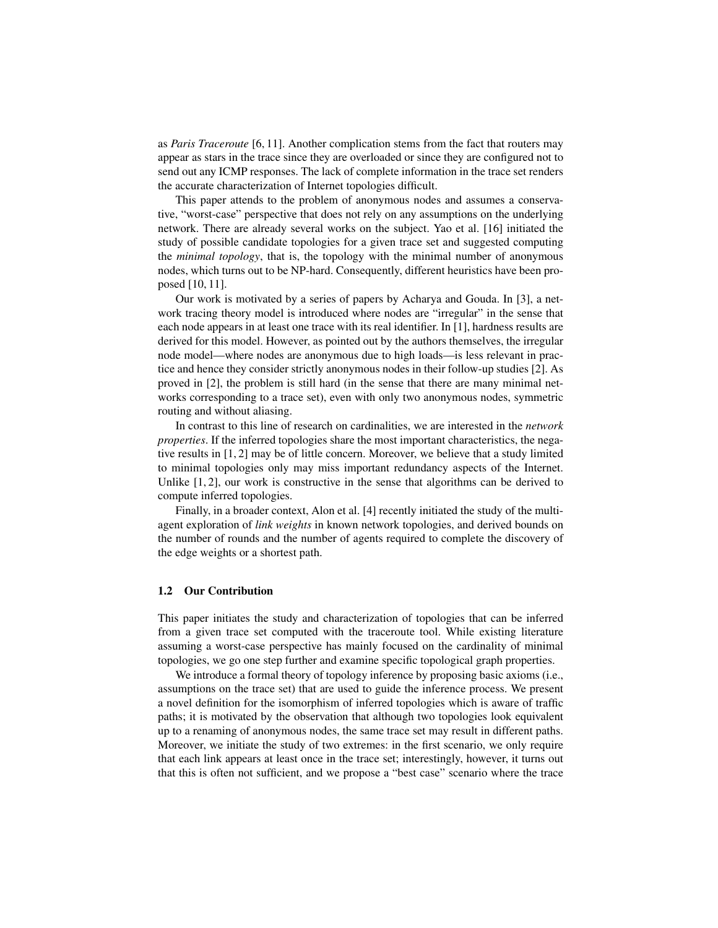as *Paris Traceroute* [6, 11]. Another complication stems from the fact that routers may appear as stars in the trace since they are overloaded or since they are configured not to send out any ICMP responses. The lack of complete information in the trace set renders the accurate characterization of Internet topologies difficult.

This paper attends to the problem of anonymous nodes and assumes a conservative, "worst-case" perspective that does not rely on any assumptions on the underlying network. There are already several works on the subject. Yao et al. [16] initiated the study of possible candidate topologies for a given trace set and suggested computing the *minimal topology*, that is, the topology with the minimal number of anonymous nodes, which turns out to be NP-hard. Consequently, different heuristics have been proposed [10, 11].

Our work is motivated by a series of papers by Acharya and Gouda. In [3], a network tracing theory model is introduced where nodes are "irregular" in the sense that each node appears in at least one trace with its real identifier. In [1], hardness results are derived for this model. However, as pointed out by the authors themselves, the irregular node model—where nodes are anonymous due to high loads—is less relevant in practice and hence they consider strictly anonymous nodes in their follow-up studies [2]. As proved in [2], the problem is still hard (in the sense that there are many minimal networks corresponding to a trace set), even with only two anonymous nodes, symmetric routing and without aliasing.

In contrast to this line of research on cardinalities, we are interested in the *network properties*. If the inferred topologies share the most important characteristics, the negative results in [1, 2] may be of little concern. Moreover, we believe that a study limited to minimal topologies only may miss important redundancy aspects of the Internet. Unlike [1, 2], our work is constructive in the sense that algorithms can be derived to compute inferred topologies.

Finally, in a broader context, Alon et al. [4] recently initiated the study of the multiagent exploration of *link weights* in known network topologies, and derived bounds on the number of rounds and the number of agents required to complete the discovery of the edge weights or a shortest path.

#### 1.2 Our Contribution

This paper initiates the study and characterization of topologies that can be inferred from a given trace set computed with the traceroute tool. While existing literature assuming a worst-case perspective has mainly focused on the cardinality of minimal topologies, we go one step further and examine specific topological graph properties.

We introduce a formal theory of topology inference by proposing basic axioms (i.e., assumptions on the trace set) that are used to guide the inference process. We present a novel definition for the isomorphism of inferred topologies which is aware of traffic paths; it is motivated by the observation that although two topologies look equivalent up to a renaming of anonymous nodes, the same trace set may result in different paths. Moreover, we initiate the study of two extremes: in the first scenario, we only require that each link appears at least once in the trace set; interestingly, however, it turns out that this is often not sufficient, and we propose a "best case" scenario where the trace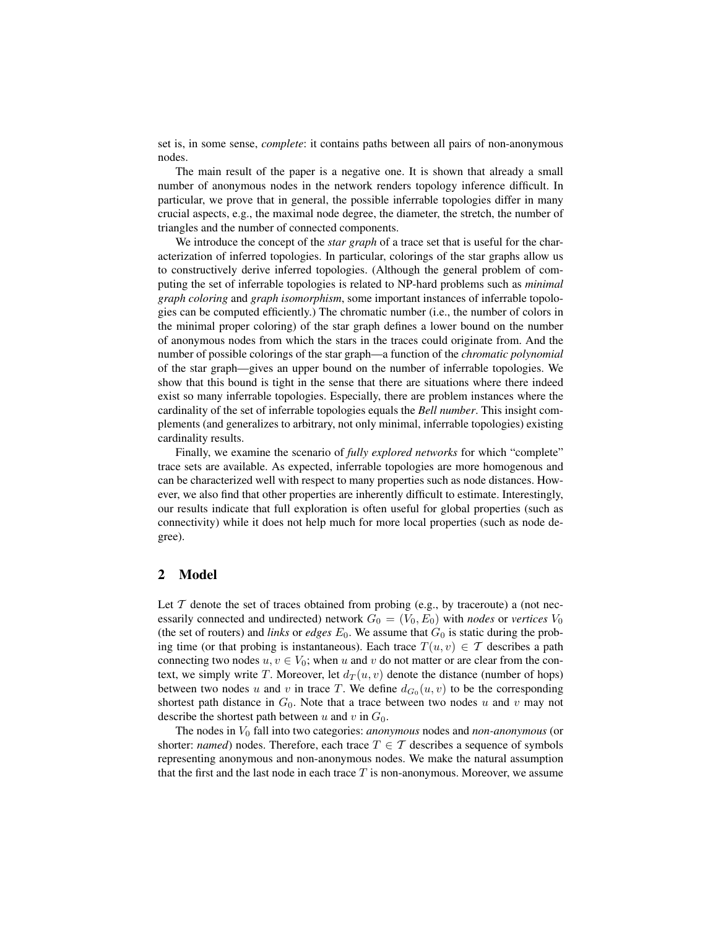set is, in some sense, *complete*: it contains paths between all pairs of non-anonymous nodes.

The main result of the paper is a negative one. It is shown that already a small number of anonymous nodes in the network renders topology inference difficult. In particular, we prove that in general, the possible inferrable topologies differ in many crucial aspects, e.g., the maximal node degree, the diameter, the stretch, the number of triangles and the number of connected components.

We introduce the concept of the *star graph* of a trace set that is useful for the characterization of inferred topologies. In particular, colorings of the star graphs allow us to constructively derive inferred topologies. (Although the general problem of computing the set of inferrable topologies is related to NP-hard problems such as *minimal graph coloring* and *graph isomorphism*, some important instances of inferrable topologies can be computed efficiently.) The chromatic number (i.e., the number of colors in the minimal proper coloring) of the star graph defines a lower bound on the number of anonymous nodes from which the stars in the traces could originate from. And the number of possible colorings of the star graph—a function of the *chromatic polynomial* of the star graph—gives an upper bound on the number of inferrable topologies. We show that this bound is tight in the sense that there are situations where there indeed exist so many inferrable topologies. Especially, there are problem instances where the cardinality of the set of inferrable topologies equals the *Bell number*. This insight complements (and generalizes to arbitrary, not only minimal, inferrable topologies) existing cardinality results.

Finally, we examine the scenario of *fully explored networks* for which "complete" trace sets are available. As expected, inferrable topologies are more homogenous and can be characterized well with respect to many properties such as node distances. However, we also find that other properties are inherently difficult to estimate. Interestingly, our results indicate that full exploration is often useful for global properties (such as connectivity) while it does not help much for more local properties (such as node degree).

### 2 Model

Let  $T$  denote the set of traces obtained from probing (e.g., by traceroute) a (not necessarily connected and undirected) network  $G_0 = (V_0, E_0)$  with *nodes* or *vertices*  $V_0$ (the set of routers) and *links* or *edges*  $E_0$ . We assume that  $G_0$  is static during the probing time (or that probing is instantaneous). Each trace  $T(u, v) \in \mathcal{T}$  describes a path connecting two nodes  $u, v \in V_0$ ; when u and v do not matter or are clear from the context, we simply write T. Moreover, let  $d_T(u, v)$  denote the distance (number of hops) between two nodes u and v in trace T. We define  $d_{G_0}(u, v)$  to be the corresponding shortest path distance in  $G_0$ . Note that a trace between two nodes u and v may not describe the shortest path between u and v in  $G_0$ .

The nodes in  $V_0$  fall into two categories: *anonymous* nodes and *non-anonymous* (or shorter: *named*) nodes. Therefore, each trace  $T \in \mathcal{T}$  describes a sequence of symbols representing anonymous and non-anonymous nodes. We make the natural assumption that the first and the last node in each trace  $T$  is non-anonymous. Moreover, we assume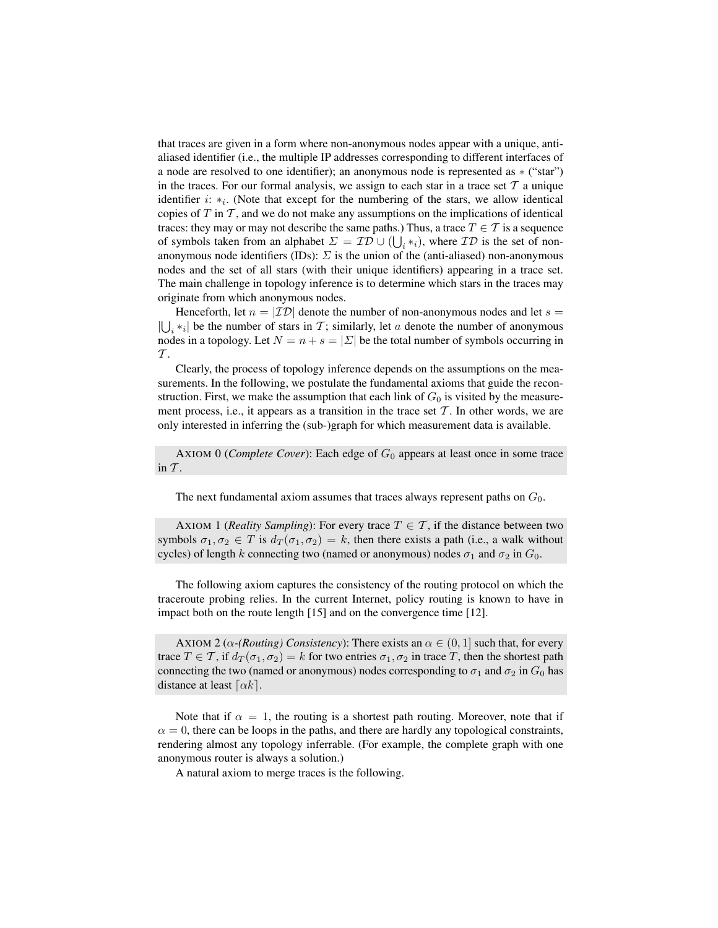that traces are given in a form where non-anonymous nodes appear with a unique, antialiased identifier (i.e., the multiple IP addresses corresponding to different interfaces of a node are resolved to one identifier); an anonymous node is represented as ∗ ("star") in the traces. For our formal analysis, we assign to each star in a trace set  $T$  a unique identifier  $i: *_{i}$ . (Note that except for the numbering of the stars, we allow identical copies of  $T$  in  $\mathcal T$ , and we do not make any assumptions on the implications of identical traces: they may or may not describe the same paths.) Thus, a trace  $T \in \mathcal{T}$  is a sequence of symbols taken from an alphabet  $\Sigma = \mathcal{ID} \cup (\bigcup_i *_{i})$ , where  $\mathcal{ID}$  is the set of nonanonymous node identifiers (IDs):  $\Sigma$  is the union of the (anti-aliased) non-anonymous nodes and the set of all stars (with their unique identifiers) appearing in a trace set. The main challenge in topology inference is to determine which stars in the traces may originate from which anonymous nodes.

Henceforth, let  $n = |\mathcal{ID}|$  denote the number of non-anonymous nodes and let  $s =$  $|\bigcup_i *_{i}|$  be the number of stars in T; similarly, let a denote the number of anonymous nodes in a topology. Let  $N = n + s = |\Sigma|$  be the total number of symbols occurring in  $\mathcal T$ .

Clearly, the process of topology inference depends on the assumptions on the measurements. In the following, we postulate the fundamental axioms that guide the reconstruction. First, we make the assumption that each link of  $G_0$  is visited by the measurement process, i.e., it appears as a transition in the trace set  $\mathcal T$ . In other words, we are only interested in inferring the (sub-)graph for which measurement data is available.

AXIOM 0 (*Complete Cover*): Each edge of  $G_0$  appears at least once in some trace in  $\mathcal T$ .

The next fundamental axiom assumes that traces always represent paths on  $G_0$ .

AXIOM 1 (*Reality Sampling*): For every trace  $T \in \mathcal{T}$ , if the distance between two symbols  $\sigma_1, \sigma_2 \in T$  is  $d_T(\sigma_1, \sigma_2) = k$ , then there exists a path (i.e., a walk without cycles) of length k connecting two (named or anonymous) nodes  $\sigma_1$  and  $\sigma_2$  in  $G_0$ .

The following axiom captures the consistency of the routing protocol on which the traceroute probing relies. In the current Internet, policy routing is known to have in impact both on the route length [15] and on the convergence time [12].

AXIOM 2 ( $\alpha$ -(*Routing*) Consistency): There exists an  $\alpha \in (0, 1]$  such that, for every trace  $T \in \mathcal{T}$ , if  $d_T(\sigma_1, \sigma_2) = k$  for two entries  $\sigma_1, \sigma_2$  in trace T, then the shortest path connecting the two (named or anonymous) nodes corresponding to  $\sigma_1$  and  $\sigma_2$  in  $G_0$  has distance at least  $\lceil \alpha k \rceil$ .

Note that if  $\alpha = 1$ , the routing is a shortest path routing. Moreover, note that if  $\alpha = 0$ , there can be loops in the paths, and there are hardly any topological constraints, rendering almost any topology inferrable. (For example, the complete graph with one anonymous router is always a solution.)

A natural axiom to merge traces is the following.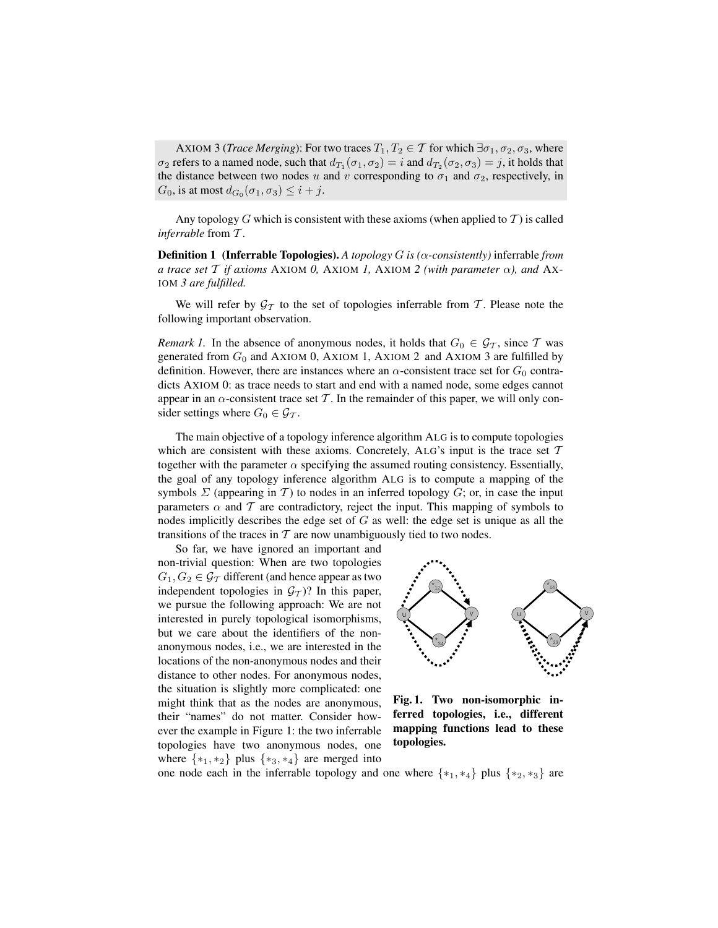AXIOM 3 (*Trace Merging*): For two traces  $T_1, T_2 \in \mathcal{T}$  for which  $\exists \sigma_1, \sigma_2, \sigma_3$ , where  $\sigma_2$  refers to a named node, such that  $d_{T_1}(\sigma_1,\sigma_2)=i$  and  $d_{T_2}(\sigma_2,\sigma_3)=j,$  it holds that the distance between two nodes u and v corresponding to  $\sigma_1$  and  $\sigma_2$ , respectively, in  $G_0$ , is at most  $d_{G_0}(\sigma_1, \sigma_3) \leq i+j$ .

Any topology G which is consistent with these axioms (when applied to  $T$ ) is called *inferrable* from T .

Definition 1 (Inferrable Topologies). *A topology* G *is (*α*-consistently)* inferrable *from a trace set* T *if axioms* AXIOM *0,* AXIOM *1,* AXIOM *2 (with parameter* α*), and* AX-IOM *3 are fulfilled.*

We will refer by  $\mathcal{G}_{\mathcal{T}}$  to the set of topologies inferrable from T. Please note the following important observation.

*Remark 1.* In the absence of anonymous nodes, it holds that  $G_0 \in \mathcal{G}_{\mathcal{T}}$ , since T was generated from  $G_0$  and AXIOM 0, AXIOM 1, AXIOM 2 and AXIOM 3 are fulfilled by definition. However, there are instances where an  $\alpha$ -consistent trace set for  $G_0$  contradicts AXIOM 0: as trace needs to start and end with a named node, some edges cannot appear in an  $\alpha$ -consistent trace set T. In the remainder of this paper, we will only consider settings where  $G_0 \in \mathcal{G}_{\mathcal{T}}$ .

The main objective of a topology inference algorithm ALG is to compute topologies which are consistent with these axioms. Concretely, ALG's input is the trace set  $\mathcal T$ together with the parameter  $\alpha$  specifying the assumed routing consistency. Essentially, the goal of any topology inference algorithm ALG is to compute a mapping of the symbols  $\Sigma$  (appearing in T) to nodes in an inferred topology  $G$ ; or, in case the input parameters  $\alpha$  and T are contradictory, reject the input. This mapping of symbols to nodes implicitly describes the edge set of  $G$  as well: the edge set is unique as all the transitions of the traces in  $T$  are now unambiguously tied to two nodes.

So far, we have ignored an important and non-trivial question: When are two topologies  $G_1, G_2 \in \mathcal{G}_{\mathcal{T}}$  different (and hence appear as two independent topologies in  $\mathcal{G}_T$ ? In this paper, we pursue the following approach: We are not interested in purely topological isomorphisms, but we care about the identifiers of the nonanonymous nodes, i.e., we are interested in the locations of the non-anonymous nodes and their distance to other nodes. For anonymous nodes, the situation is slightly more complicated: one might think that as the nodes are anonymous, their "names" do not matter. Consider however the example in Figure 1: the two inferrable topologies have two anonymous nodes, one where  $\{*_1, *_2\}$  plus  $\{*_3, *_4\}$  are merged into



Fig. 1. Two non-isomorphic inferred topologies, i.e., different mapping functions lead to these topologies.

one node each in the inferrable topology and one where  $\{*_1, *_4\}$  plus  $\{*_2, *_3\}$  are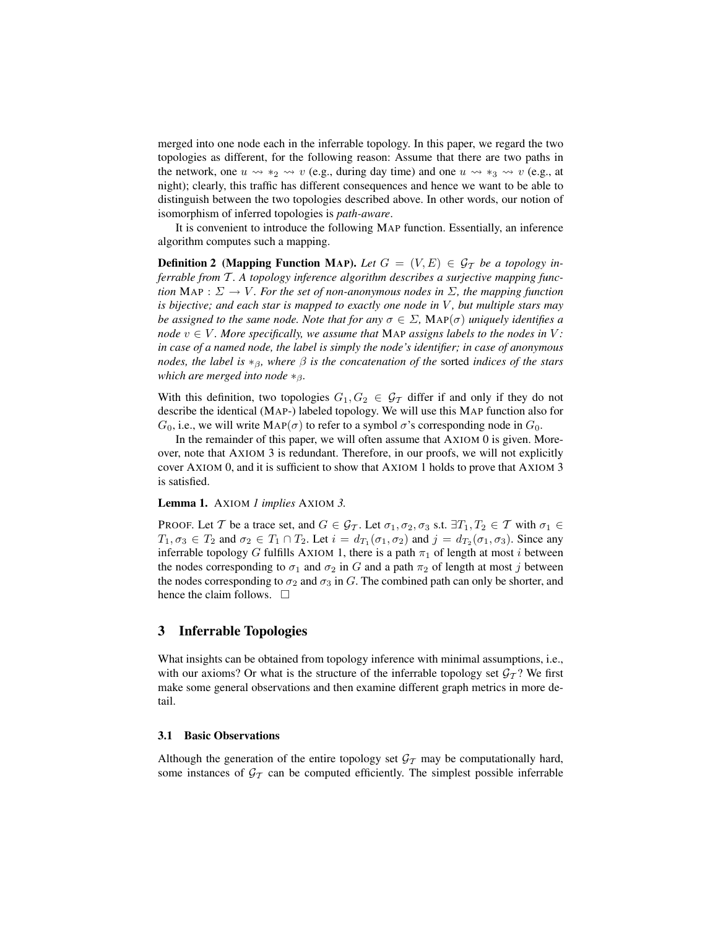merged into one node each in the inferrable topology. In this paper, we regard the two topologies as different, for the following reason: Assume that there are two paths in the network, one  $u \leadsto *_2 \leadsto v$  (e.g., during day time) and one  $u \leadsto *_3 \leadsto v$  (e.g., at night); clearly, this traffic has different consequences and hence we want to be able to distinguish between the two topologies described above. In other words, our notion of isomorphism of inferred topologies is *path-aware*.

It is convenient to introduce the following MAP function. Essentially, an inference algorithm computes such a mapping.

**Definition 2** (Mapping Function MAP). Let  $G = (V, E) \in \mathcal{G}_{\mathcal{T}}$  be a topology in*ferrable from* T *. A topology inference algorithm describes a surjective mapping function* MAP :  $\Sigma \rightarrow V$ *. For the set of non-anonymous nodes in*  $\Sigma$ *, the mapping function is bijective; and each star is mapped to exactly one node in* V *, but multiple stars may be assigned to the same node. Note that for any*  $\sigma \in \Sigma$ ,  $\text{MAP}(\sigma)$  *uniquely identifies a node*  $v \in V$ *. More specifically, we assume that* MAP *assigns labels to the nodes in* V: *in case of a named node, the label is simply the node's identifier; in case of anonymous nodes, the label is* ∗<sub>β</sub>*, where* β *is the concatenation of the sorted indices of the stars which are merged into node*  $*_{β}$ *.* 

With this definition, two topologies  $G_1, G_2 \in \mathcal{G}_{\mathcal{T}}$  differ if and only if they do not describe the identical (MAP-) labeled topology. We will use this MAP function also for  $G_0$ , i.e., we will write  $\text{MAP}(\sigma)$  to refer to a symbol  $\sigma$ 's corresponding node in  $G_0$ .

In the remainder of this paper, we will often assume that AXIOM 0 is given. Moreover, note that AXIOM 3 is redundant. Therefore, in our proofs, we will not explicitly cover AXIOM 0, and it is sufficient to show that AXIOM 1 holds to prove that AXIOM 3 is satisfied.

Lemma 1. AXIOM *1 implies* AXIOM *3.*

PROOF. Let T be a trace set, and  $G \in \mathcal{G}_{\mathcal{T}}$ . Let  $\sigma_1, \sigma_2, \sigma_3$  s.t.  $\exists T_1, T_2 \in \mathcal{T}$  with  $\sigma_1 \in$  $T_1, \sigma_3 \in T_2$  and  $\sigma_2 \in T_1 \cap T_2$ . Let  $i = d_{T_1}(\sigma_1, \sigma_2)$  and  $j = d_{T_2}(\sigma_1, \sigma_3)$ . Since any inferrable topology G fulfills AXIOM 1, there is a path  $\pi_1$  of length at most *i* between the nodes corresponding to  $\sigma_1$  and  $\sigma_2$  in G and a path  $\pi_2$  of length at most j between the nodes corresponding to  $\sigma_2$  and  $\sigma_3$  in G. The combined path can only be shorter, and hence the claim follows.  $\square$ 

### 3 Inferrable Topologies

What insights can be obtained from topology inference with minimal assumptions, i.e., with our axioms? Or what is the structure of the inferrable topology set  $\mathcal{G}_{\mathcal{T}}$ ? We first make some general observations and then examine different graph metrics in more detail.

#### 3.1 Basic Observations

Although the generation of the entire topology set  $\mathcal{G}_{\mathcal{T}}$  may be computationally hard, some instances of  $\mathcal{G}_T$  can be computed efficiently. The simplest possible inferrable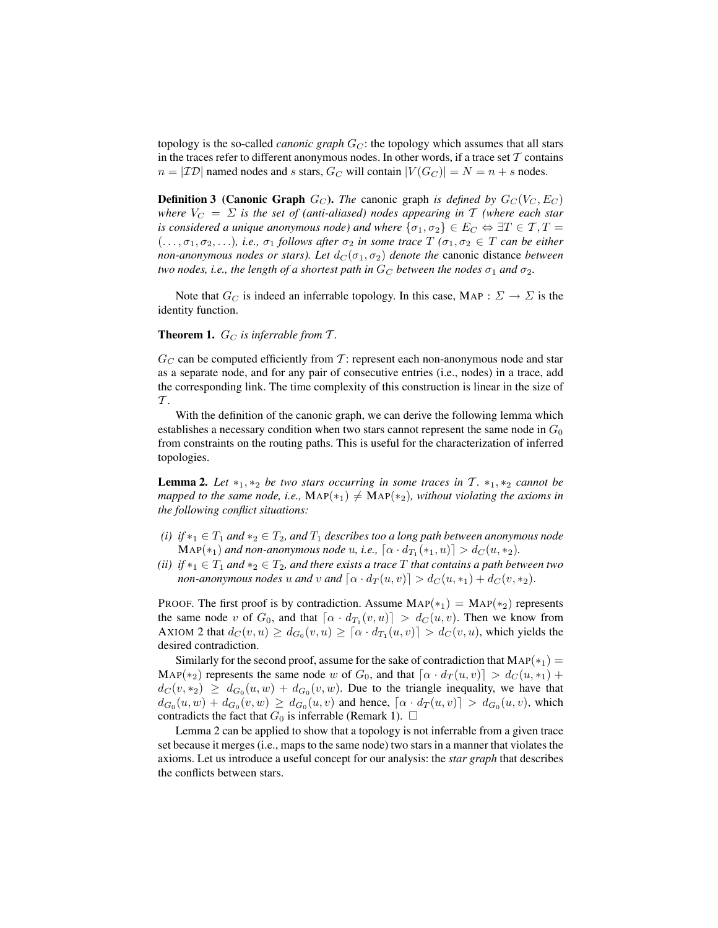topology is the so-called *canonic graph*  $G_C$ : the topology which assumes that all stars in the traces refer to different anonymous nodes. In other words, if a trace set  $T$  contains  $n = |\mathcal{ID}|$  named nodes and s stars,  $G_C$  will contain  $|V(G_C)| = N = n + s$  nodes.

**Definition 3 (Canonic Graph**  $G_C$ ). *The* canonic graph *is defined by*  $G_C(V_C, E_C)$ *where*  $V_C = \Sigma$  *is the set of (anti-aliased) nodes appearing in*  $\mathcal T$  *(where each star is considered a unique anonymous node) and where*  $\{\sigma_1, \sigma_2\} \in E_C \Leftrightarrow \exists T \in \mathcal{T}, T =$  $(...,\sigma_1,\sigma_2,...)$ *, i.e.,*  $\sigma_1$  *follows after*  $\sigma_2$  *in some trace*  $T(\sigma_1,\sigma_2 \in T$  *can be either non-anonymous nodes or stars). Let*  $d_C(\sigma_1, \sigma_2)$  *denote the* canonic distance *between two nodes, i.e., the length of a shortest path in*  $G_C$  *between the nodes*  $\sigma_1$  *and*  $\sigma_2$ *.* 

Note that  $G_C$  is indeed an inferrable topology. In this case, MAP :  $\Sigma \to \Sigma$  is the identity function.

**Theorem 1.**  $G_C$  is inferrable from  $T$ .

 $G_C$  can be computed efficiently from T: represent each non-anonymous node and star as a separate node, and for any pair of consecutive entries (i.e., nodes) in a trace, add the corresponding link. The time complexity of this construction is linear in the size of  ${\cal T}.$ 

With the definition of the canonic graph, we can derive the following lemma which establishes a necessary condition when two stars cannot represent the same node in  $G_0$ from constraints on the routing paths. This is useful for the characterization of inferred topologies.

**Lemma 2.** Let  $*_1$ ,  $*_2$  be two stars occurring in some traces in T.  $*_1$ ,  $*_2$  cannot be *mapped to the same node, i.e.,*  $MAP(*_1) \neq MAP(*_2)$ *, without violating the axioms in the following conflict situations:*

- *(i) if*  $*_1 \in T_1$  *and*  $*_2 \in T_2$ *, and*  $T_1$  *describes too a long path between anonymous node*  $\text{MAP}(*_1)$  and non-anonymous node u, i.e.,  $\lceil \alpha \cdot d_{T_1}(*_1, u) \rceil > d_C(u, *_2)$ .
- *(ii) if*  $*_1 \in T_1$  *and*  $*_2 \in T_2$ *, and there exists a trace* T *that contains a path between two non-anonymous nodes* u *and* v *and*  $\lceil \alpha \cdot d_T(u, v) \rceil > d_C(u, *_1) + d_C(v, *_2)$ .

PROOF. The first proof is by contradiction. Assume  $\text{MAP}(*_1) = \text{MAP}(*_2)$  represents the same node v of  $G_0$ , and that  $\lceil \alpha \cdot d_{T_1}(v, u) \rceil > d_C(u, v)$ . Then we know from AXIOM 2 that  $d_C(v, u) \ge d_{G_0}(v, u) \ge [\alpha \cdot d_{T_1}(u, v)] > d_C(v, u)$ , which yields the desired contradiction.

Similarly for the second proof, assume for the sake of contradiction that  $\text{MAP}(*_1) =$ MAP(\*2) represents the same node w of  $G_0$ , and that  $\lceil \alpha \cdot d_T(u, v) \rceil > d_C(u, *_1) +$  $d_C(v, *_2) \ge d_{G_0}(u, w) + d_{G_0}(v, w)$ . Due to the triangle inequality, we have that  $d_{G_0}(u, w) + d_{G_0}(v, w) \ge d_{G_0}(u, v)$  and hence,  $\lceil \alpha \cdot d_T(u, v) \rceil > d_{G_0}(u, v)$ , which contradicts the fact that  $G_0$  is inferrable (Remark 1).  $\Box$ 

Lemma 2 can be applied to show that a topology is not inferrable from a given trace set because it merges (i.e., maps to the same node) two stars in a manner that violates the axioms. Let us introduce a useful concept for our analysis: the *star graph* that describes the conflicts between stars.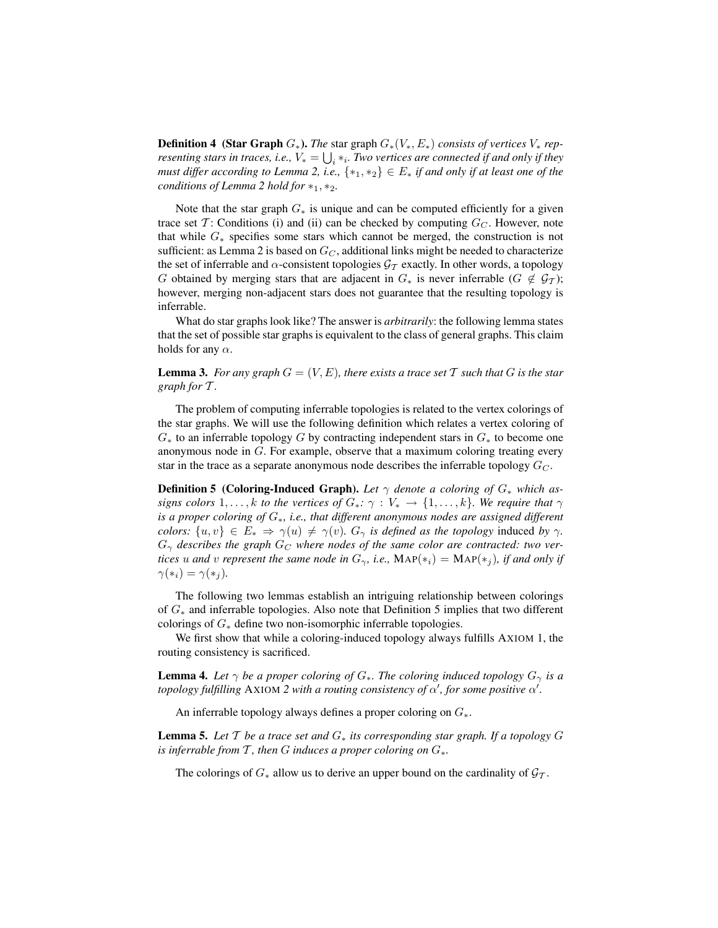**Definition 4** (Star Graph  $G_*$ ). The star graph  $G_*(V_*, E_*)$  consists of vertices  $V_*$  rep*resenting stars in traces, i.e.,*  $V_* = \bigcup_i *_i$ *. Two vertices are connected if and only if they must differ according to Lemma 2, i.e.,*  $\{*_1, *_2\} \in E_*$  *if and only if at least one of the conditions of Lemma 2 hold for* ∗1, ∗2*.*

Note that the star graph  $G_*$  is unique and can be computed efficiently for a given trace set T: Conditions (i) and (ii) can be checked by computing  $G_C$ . However, note that while  $G_*$  specifies some stars which cannot be merged, the construction is not sufficient: as Lemma 2 is based on  $G_C$ , additional links might be needed to characterize the set of inferrable and  $\alpha$ -consistent topologies  $\mathcal{G}_{\mathcal{T}}$  exactly. In other words, a topology G obtained by merging stars that are adjacent in  $G_*$  is never inferrable  $(G \notin \mathcal{G}_T)$ ; however, merging non-adjacent stars does not guarantee that the resulting topology is inferrable.

What do star graphs look like? The answer is *arbitrarily*: the following lemma states that the set of possible star graphs is equivalent to the class of general graphs. This claim holds for any  $\alpha$ .

**Lemma 3.** For any graph  $G = (V, E)$ , there exists a trace set T such that G is the star *graph for* T *.*

The problem of computing inferrable topologies is related to the vertex colorings of the star graphs. We will use the following definition which relates a vertex coloring of  $G_*$  to an inferrable topology G by contracting independent stars in  $G_*$  to become one anonymous node in G. For example, observe that a maximum coloring treating every star in the trace as a separate anonymous node describes the inferrable topology  $G_C$ .

**Definition 5** (Coloring-Induced Graph). Let  $\gamma$  denote a coloring of  $G_*$  which as*signs colors* 1, ..., *k to the vertices of*  $G_*$ :  $\gamma$  :  $V_* \to \{1, ..., k\}$ *. We require that*  $\gamma$ *is a proper coloring of* G∗*, i.e., that different anonymous nodes are assigned different colors:*  $\{u, v\} \in E_* \Rightarrow \gamma(u) \neq \gamma(v)$ *.*  $G_\gamma$  *is defined as the topology* induced *by*  $\gamma$ *.*  $G_{\gamma}$  describes the graph  $G_C$  where nodes of the same color are contracted: two ver*tices* u and v represent the same node in  $G_\gamma$ , i.e., MAP(\*<sub>i</sub>) = MAP(\*<sub>j</sub>), if and only if  $\gamma(*) = \gamma(*_i)$ .

The following two lemmas establish an intriguing relationship between colorings of G<sup>∗</sup> and inferrable topologies. Also note that Definition 5 implies that two different colorings of  $G_*$  define two non-isomorphic inferrable topologies.

We first show that while a coloring-induced topology always fulfills AXIOM 1, the routing consistency is sacrificed.

**Lemma 4.** Let  $\gamma$  be a proper coloring of  $G_*$ . The coloring induced topology  $G_{\gamma}$  is a *topology fulfilling* AXIOM 2 with a routing consistency of  $\alpha'$ , for some positive  $\alpha'$ .

An inferrable topology always defines a proper coloring on  $G_*$ .

Lemma 5. *Let* T *be a trace set and* G<sup>∗</sup> *its corresponding star graph. If a topology* G *is inferrable from*  $T$ *, then*  $G$  *induces a proper coloring on*  $G$ <sup>\*</sup>*∗.* 

The colorings of  $G_*$  allow us to derive an upper bound on the cardinality of  $\mathcal{G}_{\mathcal{T}}$ .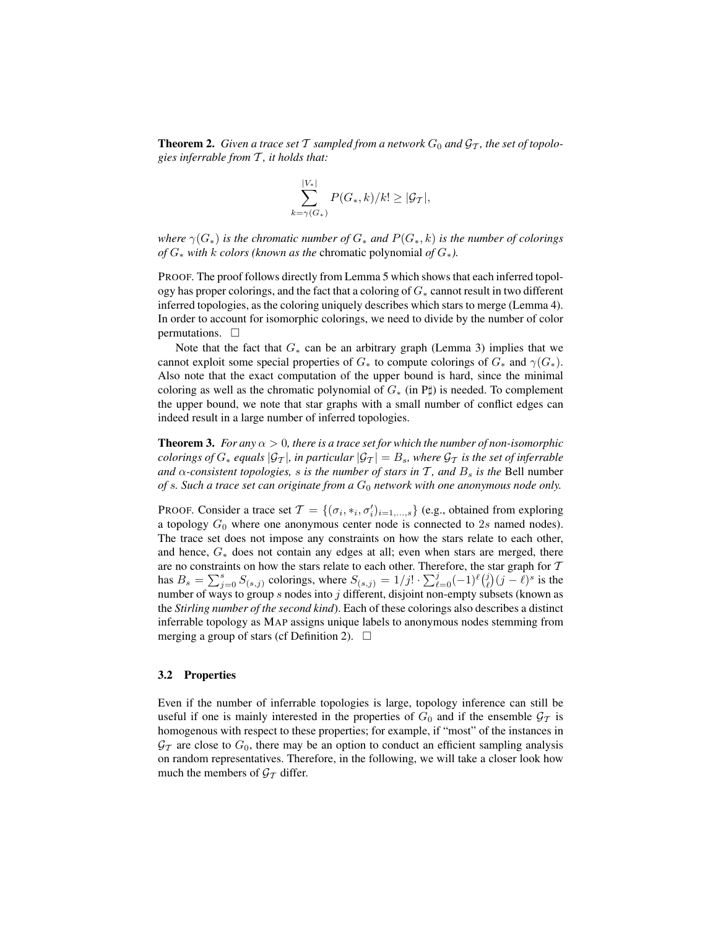**Theorem 2.** Given a trace set T sampled from a network  $G_0$  and  $\mathcal{G}_T$ , the set of topolo*gies inferrable from* T *, it holds that:*

$$
\sum_{k=\gamma(G_*)}^{|V_*|} P(G_*, k)/k! \geq |\mathcal{G}_{\mathcal{T}}|,
$$

*where*  $\gamma(G_*)$  *is the chromatic number of*  $G_*$  *and*  $P(G_*, k)$  *is the number of colorings of*  $G_*$  *with* k *colors (known as the chromatic polynomial of*  $G_*$ ).

PROOF. The proof follows directly from Lemma 5 which shows that each inferred topology has proper colorings, and the fact that a coloring of  $G_*$  cannot result in two different inferred topologies, as the coloring uniquely describes which stars to merge (Lemma 4). In order to account for isomorphic colorings, we need to divide by the number of color permutations.  $\square$ 

Note that the fact that  $G_*$  can be an arbitrary graph (Lemma 3) implies that we cannot exploit some special properties of  $G_*$  to compute colorings of  $G_*$  and  $\gamma(G_*)$ . Also note that the exact computation of the upper bound is hard, since the minimal coloring as well as the chromatic polynomial of  $G_*$  (in P $\sharp$ ) is needed. To complement the upper bound, we note that star graphs with a small number of conflict edges can indeed result in a large number of inferred topologies.

**Theorem 3.** *For any*  $\alpha > 0$ *, there is a trace set for which the number of non-isomorphic colorings of*  $G_*$  *equals*  $|\mathcal{G}_T|$ *, in particular*  $|\mathcal{G}_T| = B_s$ *, where*  $\mathcal{G}_T$  *is the set of inferrable and*  $\alpha$ -consistent topologies, *s* is the number of stars in T, and  $B_s$  is the Bell number *of* s. Such a trace set can originate from a  $G_0$  network with one anonymous node only.

PROOF. Consider a trace set  $\mathcal{T} = \{(\sigma_i, *, , \sigma'_i)_{i=1,...,s}\}$  (e.g., obtained from exploring a topology  $G_0$  where one anonymous center node is connected to  $2s$  named nodes). The trace set does not impose any constraints on how the stars relate to each other, and hence,  $G_*$  does not contain any edges at all; even when stars are merged, there are no constraints on how the stars relate to each other. Therefore, the star graph for  $T$ has  $B_s = \sum_{j=0}^s S_{(s,j)}$  colorings, where  $S_{(s,j)} = 1/j! \cdot \sum_{\ell=0}^j (-1)^{\ell} {j \choose \ell} (j - \ell)^s$  is the number of ways to group  $s$  nodes into  $j$  different, disjoint non-empty subsets (known as the *Stirling number of the second kind*). Each of these colorings also describes a distinct inferrable topology as MAP assigns unique labels to anonymous nodes stemming from merging a group of stars (cf Definition 2).  $\Box$ 

#### 3.2 Properties

Even if the number of inferrable topologies is large, topology inference can still be useful if one is mainly interested in the properties of  $G_0$  and if the ensemble  $\mathcal{G}_{\mathcal{T}}$  is homogenous with respect to these properties; for example, if "most" of the instances in  $\mathcal{G}_{\mathcal{T}}$  are close to  $G_0$ , there may be an option to conduct an efficient sampling analysis on random representatives. Therefore, in the following, we will take a closer look how much the members of  $\mathcal{G}_{\mathcal{T}}$  differ.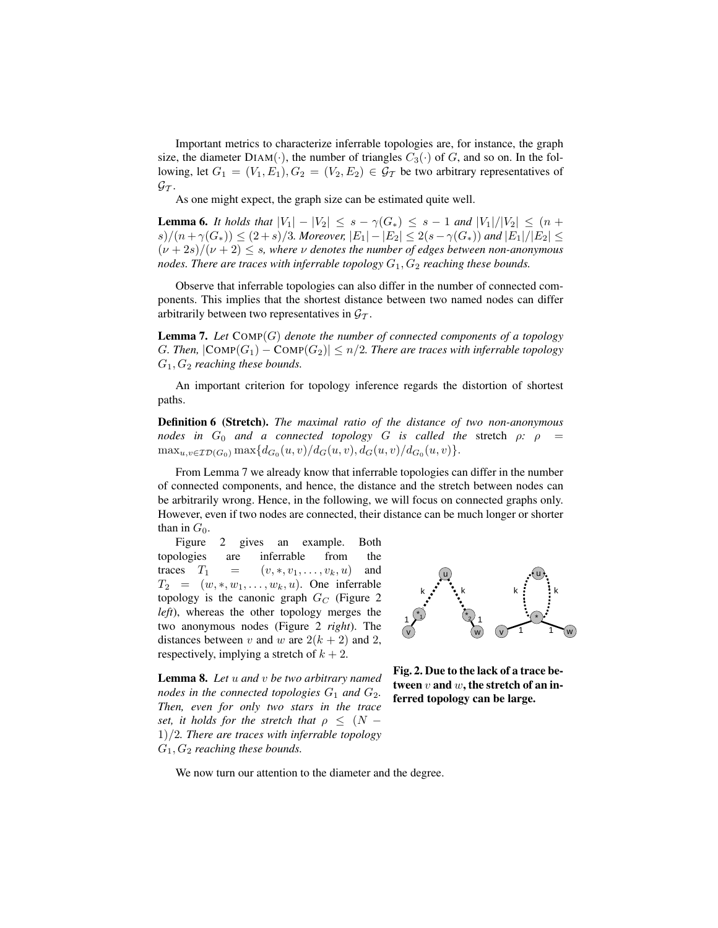Important metrics to characterize inferrable topologies are, for instance, the graph size, the diameter  $DIAM(\cdot)$ , the number of triangles  $C_3(\cdot)$  of G, and so on. In the following, let  $G_1 = (V_1, E_1), G_2 = (V_2, E_2) \in \mathcal{G}_{\mathcal{T}}$  be two arbitrary representatives of  $\mathcal{G}_{\mathcal{T}}.$ 

As one might expect, the graph size can be estimated quite well.

**Lemma 6.** *It holds that*  $|V_1| - |V_2| \leq s - \gamma(G_*) \leq s - 1$  *and*  $|V_1|/|V_2| \leq (n +$  $s)/(n + \gamma(G_*) \leq (2 + s)/3$ *. Moreover,*  $|E_1| - |E_2| \leq 2(s - \gamma(G_*))$  and  $|E_1|/|E_2| \leq$  $(\nu + 2s)/(\nu + 2) \leq s$ , where  $\nu$  denotes the number of edges between non-anonymous nodes. There are traces with inferrable topology  $G_1, G_2$  reaching these bounds.

Observe that inferrable topologies can also differ in the number of connected components. This implies that the shortest distance between two named nodes can differ arbitrarily between two representatives in  $\mathcal{G}_{\mathcal{T}}$ .

**Lemma 7.** Let  $\text{COMP}(G)$  denote the number of connected components of a topology G. Then,  $|COMP(G_1) - COMP(G_2)| \leq n/2$ . There are traces with inferrable topology  $G_1, G_2$  *reaching these bounds.* 

An important criterion for topology inference regards the distortion of shortest paths.

Definition 6 (Stretch). *The maximal ratio of the distance of two non-anonymous nodes in*  $G_0$  *and a connected topology*  $G$  *is called the stretch*  $\rho$ *:*  $\rho$  =  $\max_{u,v\in\mathcal{ID}(G_0)}\max\{d_{G_0}(u,v)/d_G(u,v),d_G(u,v)/d_{G_0}(u,v)\}.$ 

From Lemma 7 we already know that inferrable topologies can differ in the number of connected components, and hence, the distance and the stretch between nodes can be arbitrarily wrong. Hence, in the following, we will focus on connected graphs only. However, even if two nodes are connected, their distance can be much longer or shorter than in  $G_0$ .

Figure 2 gives an example. Both topologies are inferrable from the traces  $T_1 = (v, \ast, v_1, \dots, v_k, u)$  and  $T_2 = (w, \ast, w_1, \ldots, w_k, u)$ . One inferrable topology is the canonic graph  $G_C$  (Figure 2 *left*), whereas the other topology merges the two anonymous nodes (Figure 2 *right*). The distances between v and w are  $2(k + 2)$  and 2, respectively, implying a stretch of  $k + 2$ .



Lemma 8. *Let* u *and* v *be two arbitrary named nodes in the connected topologies*  $G_1$  *and*  $G_2$ *. Then, even for only two stars in the trace set, it holds for the stretch that*  $\rho \leq (N - \epsilon)$ 1)/2*. There are traces with inferrable topology* G1, G<sup>2</sup> *reaching these bounds.*

Fig. 2. Due to the lack of a trace between  $v$  and  $w$ , the stretch of an inferred topology can be large.

We now turn our attention to the diameter and the degree.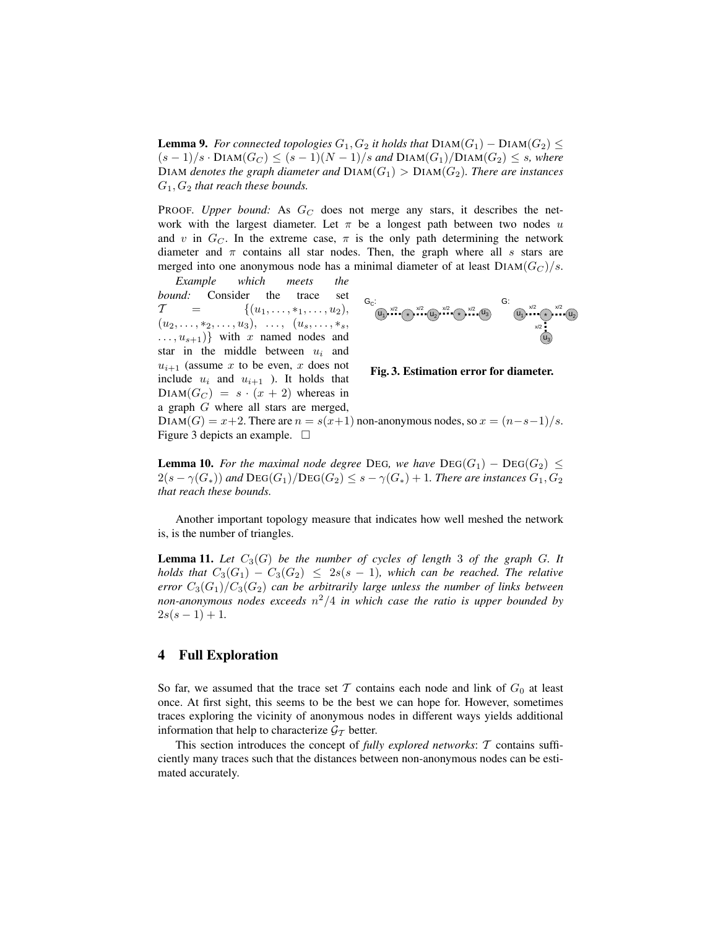**Lemma 9.** *For connected topologies*  $G_1, G_2$  *it holds that*  $DIAM(G_1) - DIAM(G_2) \leq$  $(s-1)/s \cdot \text{DIAM}(G_C) \leq (s-1)(N-1)/s$  and  $\text{DIAM}(G_1)/\text{DIAM}(G_2) \leq s$ , where DIAM *denotes the graph diameter and*  $DIAM(G_1) > DIAM(G_2)$ *. There are instances*  $G_1, G_2$  *that reach these bounds.* 

PROOF. *Upper bound:* As  $G_C$  does not merge any stars, it describes the network with the largest diameter. Let  $\pi$  be a longest path between two nodes u and v in  $G_C$ . In the extreme case,  $\pi$  is the only path determining the network diameter and  $\pi$  contains all star nodes. Then, the graph where all s stars are merged into one anonymous node has a minimal diameter of at least  $DIAM(G_C)/s$ .

*Example which meets the bound:* Consider the trace set  $\mathcal{T} = \{ (u_1, \ldots, *_1, \ldots, u_2),$  $(u_2, \ldots, *_2, \ldots, u_3), \ldots, (u_s, \ldots, *_s,$  $\dots, u_{s+1}$ } with x named nodes and star in the middle between  $u_i$  and  $u_{i+1}$  (assume x to be even, x does not include  $u_i$  and  $u_{i+1}$  ). It holds that  $DIAM(G_C) = s \cdot (x + 2)$  whereas in a graph G where all stars are merged,





DIAM(G) = x+2. There are  $n = s(x+1)$  non-anonymous nodes, so  $x = (n-s-1)/s$ . Figure 3 depicts an example.  $\Box$ 

**Lemma 10.** For the maximal node degree DEG, we have  $\text{DEG}(G_1) - \text{DEG}(G_2) \leq$  $2(s - \gamma(G_*))$  and  $\text{DEG}(G_1)/\text{DEG}(G_2) \leq s - \gamma(G_*) + 1$ . There are instances  $G_1, G_2$ *that reach these bounds.*

Another important topology measure that indicates how well meshed the network is, is the number of triangles.

**Lemma 11.** Let  $C_3(G)$  be the number of cycles of length 3 of the graph G. It *holds that*  $C_3(G_1) - C_3(G_2) \leq 2s(s-1)$ *, which can be reached. The relative error*  $C_3(G_1)/C_3(G_2)$  *can be arbitrarily large unless the number of links between non-anonymous nodes exceeds* n <sup>2</sup>/4 *in which case the ratio is upper bounded by*  $2s(s - 1) + 1.$ 

### 4 Full Exploration

So far, we assumed that the trace set T contains each node and link of  $G_0$  at least once. At first sight, this seems to be the best we can hope for. However, sometimes traces exploring the vicinity of anonymous nodes in different ways yields additional information that help to characterize  $\mathcal{G}_{\mathcal{T}}$  better.

This section introduces the concept of *fully explored networks*: T contains sufficiently many traces such that the distances between non-anonymous nodes can be estimated accurately.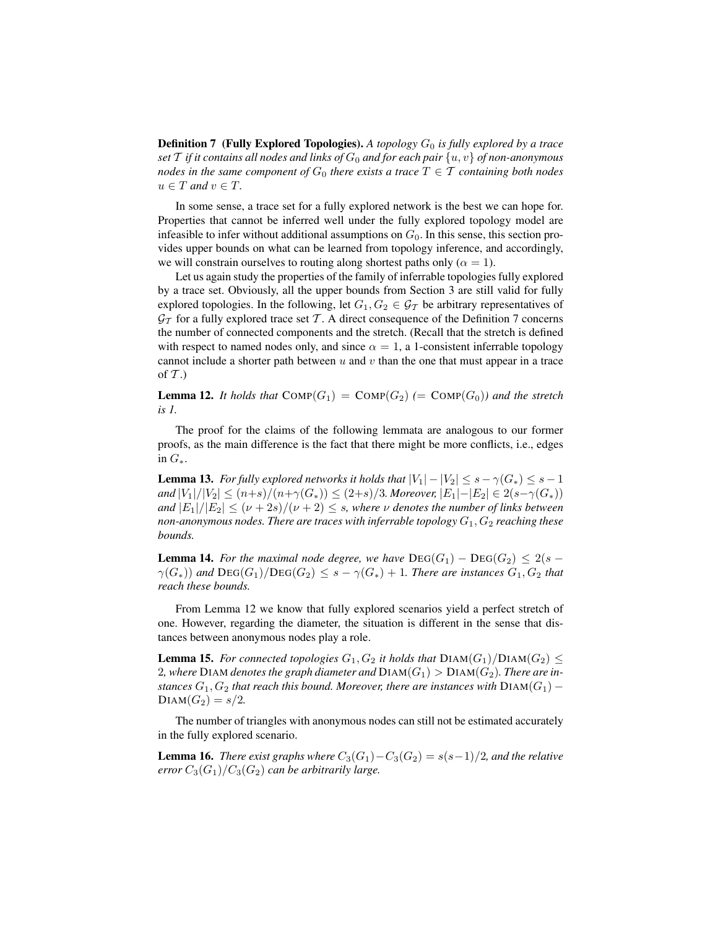**Definition 7** (Fully Explored Topologies). A topology  $G_0$  is fully explored by a trace *set*  $T$  *if it contains all nodes and links of*  $G_0$  *and for each pair*  $\{u, v\}$  *of non-anonymous nodes in the same component of*  $G_0$  *there exists a trace*  $T \in \mathcal{T}$  *containing both nodes*  $u \in T$  *and*  $v \in T$ *.* 

In some sense, a trace set for a fully explored network is the best we can hope for. Properties that cannot be inferred well under the fully explored topology model are infeasible to infer without additional assumptions on  $G_0$ . In this sense, this section provides upper bounds on what can be learned from topology inference, and accordingly, we will constrain ourselves to routing along shortest paths only ( $\alpha = 1$ ).

Let us again study the properties of the family of inferrable topologies fully explored by a trace set. Obviously, all the upper bounds from Section 3 are still valid for fully explored topologies. In the following, let  $G_1, G_2 \in \mathcal{G}_{\mathcal{T}}$  be arbitrary representatives of  $\mathcal{G}_{\mathcal{T}}$  for a fully explored trace set T. A direct consequence of the Definition 7 concerns the number of connected components and the stretch. (Recall that the stretch is defined with respect to named nodes only, and since  $\alpha = 1$ , a 1-consistent inferrable topology cannot include a shorter path between  $u$  and  $v$  than the one that must appear in a trace of  $\mathcal{T}$ .)

**Lemma 12.** It holds that  $\text{COMP}(G_1) = \text{COMP}(G_2)$  (=  $\text{COMP}(G_0)$ ) and the stretch *is 1.*

The proof for the claims of the following lemmata are analogous to our former proofs, as the main difference is the fact that there might be more conflicts, i.e., edges in  $G_*$ .

**Lemma 13.** *For fully explored networks it holds that*  $|V_1| - |V_2| \leq s - \gamma(G_*) \leq s - 1$ *and*  $|V_1|/|V_2| \le (n+s)/(n+\gamma(G_*)) \le (2+s)/3$ *. Moreover,*  $|E_1|-|E_2| \in 2(s-\gamma(G_*))$ *and*  $|E_1|/|E_2| \leq (\nu + 2s)/(\nu + 2) \leq s$ , where  $\nu$  *denotes the number of links between non-anonymous nodes. There are traces with inferrable topology*  $G_1$ ,  $G_2$  *reaching these bounds.*

**Lemma 14.** *For the maximal node degree, we have*  $\text{DEG}(G_1) - \text{DEG}(G_2) \leq 2(s \gamma(G_*)$ ) and  $\text{DEG}(G_1)/\text{DEG}(G_2) \leq s - \gamma(G_*) + 1$ . There are instances  $G_1, G_2$  that *reach these bounds.*

From Lemma 12 we know that fully explored scenarios yield a perfect stretch of one. However, regarding the diameter, the situation is different in the sense that distances between anonymous nodes play a role.

**Lemma 15.** For connected topologies  $G_1, G_2$  it holds that  $DIAM(G_1)/DIAM(G_2)$  < 2, where DIAM denotes the graph diameter and  $DIAM(G_1) > DIAM(G_2)$ . There are in*stances*  $G_1, G_2$  *that reach this bound. Moreover, there are instances with* DIAM( $G_1$ ) –  $DIAM(G_2) = s/2.$ 

The number of triangles with anonymous nodes can still not be estimated accurately in the fully explored scenario.

**Lemma 16.** *There exist graphs where*  $C_3(G_1) - C_3(G_2) = s(s-1)/2$ , and the relative *error*  $C_3(G_1)/C_3(G_2)$  *can be arbitrarily large.*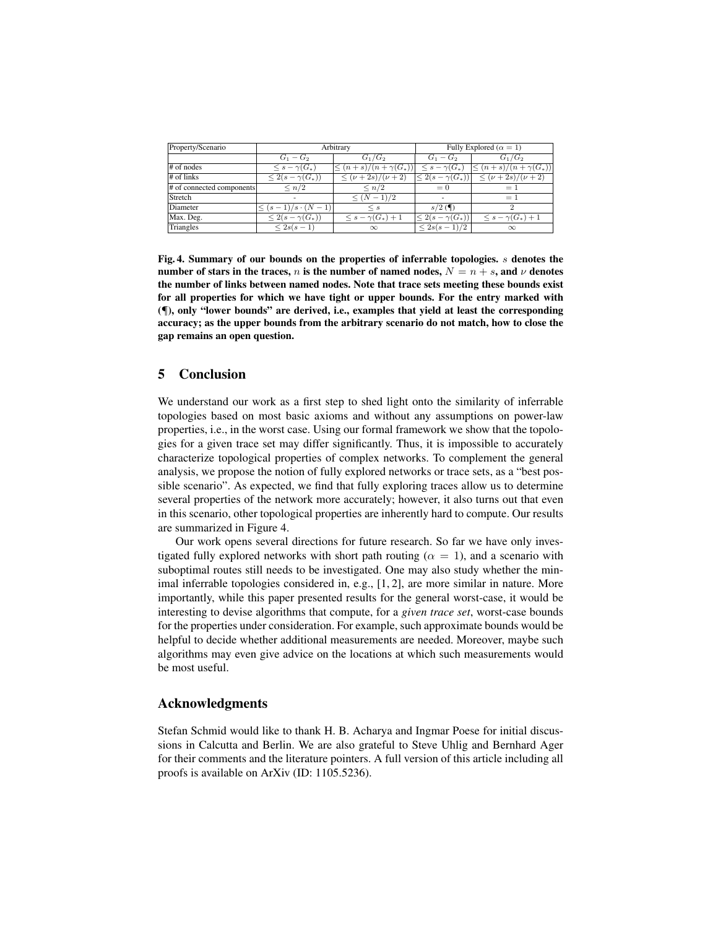| Property/Scenario         | Arbitrary                      |                                | Fully Explored ( $\alpha = 1$ ) |                                |
|---------------------------|--------------------------------|--------------------------------|---------------------------------|--------------------------------|
|                           | $G_1 - G_2$                    | $G_1/G_2$                      | $G_1 - G_2$                     | $G_1/G_2$                      |
| $#$ of nodes              | $\leq s - \gamma(G_*)$         | $\leq (n+s)/(n+\gamma(G_{*}))$ | $\leq s - \gamma(G_{*})$        | $\leq (n+s)/(n+\gamma(G_{*}))$ |
| $\#$ of links             | $\leq 2(s - \gamma(G_{\ast}))$ | $\leq (\nu + 2s)/(\nu + 2)$    | $\leq 2(s - \gamma(G_{\ast}))$  | $\leq (\nu + 2s)/(\nu + 2)$    |
| # of connected components | $\leq n/2$                     | $\leq n/2$                     | $= 0$                           | $=1$                           |
| Stretch                   |                                | $\leq (N-1)/2$                 |                                 | $=1$                           |
| Diameter                  | $(s-1)/s \cdot (N-1)$          | $\leq s$                       | $s/2$ ( $\P$ )                  |                                |
| Max. Deg.                 | $\leq 2(s - \gamma(G_{*}))$    | $\leq s - \gamma(G_*) + 1$     | $\leq 2(s - \gamma(G_{\ast}))$  | $\leq s - \gamma(G_*) + 1$     |
| Triangles                 | $\leq 2s(s-1)$                 | $\infty$                       | $\leq 2s(s-1)/2$                | $\infty$                       |

Fig. 4. Summary of our bounds on the properties of inferrable topologies.  $s$  denotes the number of stars in the traces, n is the number of named nodes,  $N = n + s$ , and  $\nu$  denotes for all properties for which we have tight or upper bounds. For the two entries matrix  $\mathbf{r}$ the number of links between named nodes. Note that trace sets meeting these bounds exist for all properties for which we have tight or upper bounds. For the entry marked with (¶), only "lower bounds" are derived, i.e., examples that yield at least the corresponding gap remains an open question. accuracy; as the upper bounds from the arbitrary scenario do not match, how to close the

#### 5 Conclusion more similar in nature. More important that is paper presented results for the third this paper presented results for the third theorem of the thing of the thing of the thing of the thing of the thing of the thing of the t

We understand our work as a first step to shed light onto the similarity of inferrable such approximate bounds would be helpful to decide whether additional measurements topologies based on most basic axioms and without any assumptions on power-law properties, i.e., in the worst case. Using our formal framework we show that the topolocharacterize topological properties of complex networks. To complement the general  $\mathcal{S}_{\text{S}}$  change to the superior  $\mathcal{S}_{\text{S}}$  are  $\mathcal{S}_{\text{S}}$  and  $\mathcal{S}_{\text{S}}$  for  $\mathcal{S}_{\text{S}}$  for initial discusses for initial discusses for initial discusses for  $\mathcal{S}_{\text{S}}$ sible scenario". As expected, we find that fully exploring traces allow us to determine several properties of the network more accurately; however, it also turns out that even in this scenario, other topological properties are inherently hard to compute. Our results gies for a given trace set may differ significantly. Thus, it is impossible to accurately analysis, we propose the notion of fully explored networks or trace sets, as a "best posare summarized in Figure 4.

Our work opens several directions for future research. So far we have only investigated fully explored networks with short path routing ( $\alpha = 1$ ), and a scenario with suboptimal routes still needs to be investigated. One may also study whether the minimal inferrable topologies considered in, e.g., [1, 2], are more similar in nature. More *micronicologies computing and Nego, [1,2]*, are importantly, while this paper presented results for the general worst-case, it would be interesting to devise algorithms that compute, for a *given trace set*, worst-case bounds for the properties under consideration. For example, such approximate bounds would be helpful to decide whether additional measurements are needed. Moreover, maybe such algorithms may even give advice on the locations at which such measurements would be most useful.

### Acknowledgments

Stefan Schmid would like to thank H. B. Acharya and Ingmar Poese for initial discussions in Calcutta and Berlin. We are also grateful to Steve Uhlig and Bernhard Ager for their comments and the literature pointers. A full version of this article including all proofs is available on ArXiv (ID: 1105.5236).